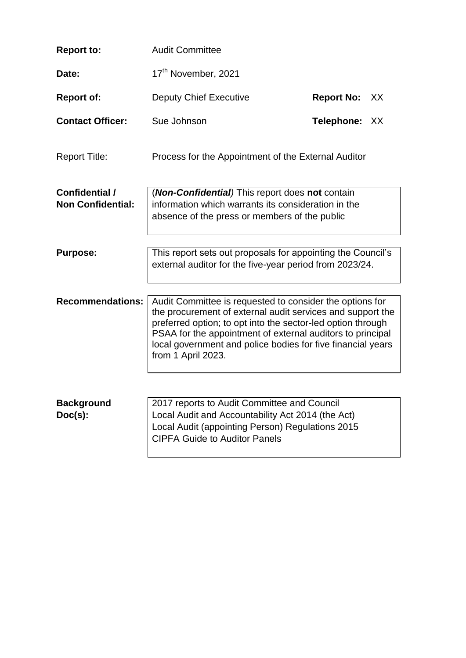| <b>Report to:</b>                          | <b>Audit Committee</b>                                                                                                                                                                                                                                                                                                                   |                   |      |
|--------------------------------------------|------------------------------------------------------------------------------------------------------------------------------------------------------------------------------------------------------------------------------------------------------------------------------------------------------------------------------------------|-------------------|------|
| Date:                                      | 17th November, 2021                                                                                                                                                                                                                                                                                                                      |                   |      |
| <b>Report of:</b>                          | <b>Deputy Chief Executive</b>                                                                                                                                                                                                                                                                                                            | <b>Report No:</b> | - XX |
| <b>Contact Officer:</b>                    | Sue Johnson                                                                                                                                                                                                                                                                                                                              | Telephone: XX     |      |
| <b>Report Title:</b>                       | Process for the Appointment of the External Auditor                                                                                                                                                                                                                                                                                      |                   |      |
| Confidential /<br><b>Non Confidential:</b> | (Non-Confidential) This report does not contain<br>information which warrants its consideration in the<br>absence of the press or members of the public                                                                                                                                                                                  |                   |      |
|                                            |                                                                                                                                                                                                                                                                                                                                          |                   |      |
| <b>Purpose:</b>                            | This report sets out proposals for appointing the Council's<br>external auditor for the five-year period from 2023/24.                                                                                                                                                                                                                   |                   |      |
|                                            |                                                                                                                                                                                                                                                                                                                                          |                   |      |
| <b>Recommendations:</b>                    | Audit Committee is requested to consider the options for<br>the procurement of external audit services and support the<br>preferred option; to opt into the sector-led option through<br>PSAA for the appointment of external auditors to principal<br>local government and police bodies for five financial years<br>from 1 April 2023. |                   |      |
|                                            |                                                                                                                                                                                                                                                                                                                                          |                   |      |
| <b>Background</b><br>$Doc(s)$ :            | 2017 reports to Audit Committee and Council<br>Local Audit and Accountability Act 2014 (the Act)<br>Local Audit (appointing Person) Regulations 2015<br><b>CIPFA Guide to Auditor Panels</b>                                                                                                                                             |                   |      |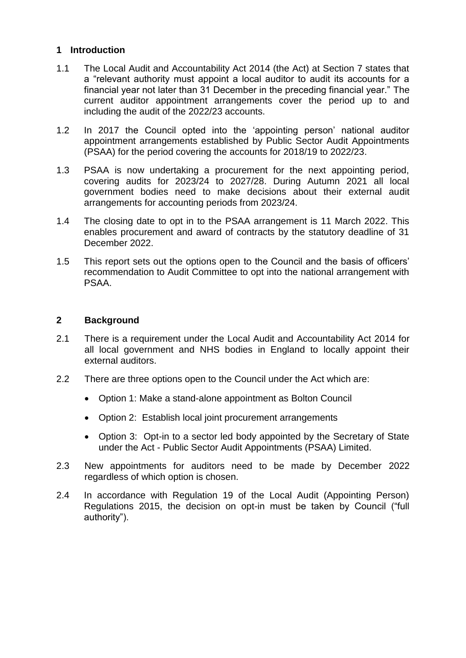### **1 Introduction**

- 1.1 The Local Audit and Accountability Act 2014 (the Act) at Section 7 states that a "relevant authority must appoint a local auditor to audit its accounts for a financial year not later than 31 December in the preceding financial year." The current auditor appointment arrangements cover the period up to and including the audit of the 2022/23 accounts.
- 1.2 In 2017 the Council opted into the 'appointing person' national auditor appointment arrangements established by Public Sector Audit Appointments (PSAA) for the period covering the accounts for 2018/19 to 2022/23.
- 1.3 PSAA is now undertaking a procurement for the next appointing period, covering audits for 2023/24 to 2027/28. During Autumn 2021 all local government bodies need to make decisions about their external audit arrangements for accounting periods from 2023/24.
- 1.4 The closing date to opt in to the PSAA arrangement is 11 March 2022. This enables procurement and award of contracts by the statutory deadline of 31 December 2022.
- 1.5 This report sets out the options open to the Council and the basis of officers' recommendation to Audit Committee to opt into the national arrangement with PSAA.

### **2 Background**

- 2.1 There is a requirement under the Local Audit and Accountability Act 2014 for all local government and NHS bodies in England to locally appoint their external auditors.
- 2.2 There are three options open to the Council under the Act which are:
	- Option 1: Make a stand-alone appointment as Bolton Council
	- Option 2: Establish local joint procurement arrangements
	- Option 3: Opt-in to a sector led body appointed by the Secretary of State under the Act - Public Sector Audit Appointments (PSAA) Limited.
- 2.3 New appointments for auditors need to be made by December 2022 regardless of which option is chosen.
- 2.4 In accordance with Regulation 19 of the Local Audit (Appointing Person) Regulations 2015, the decision on opt-in must be taken by Council ("full authority").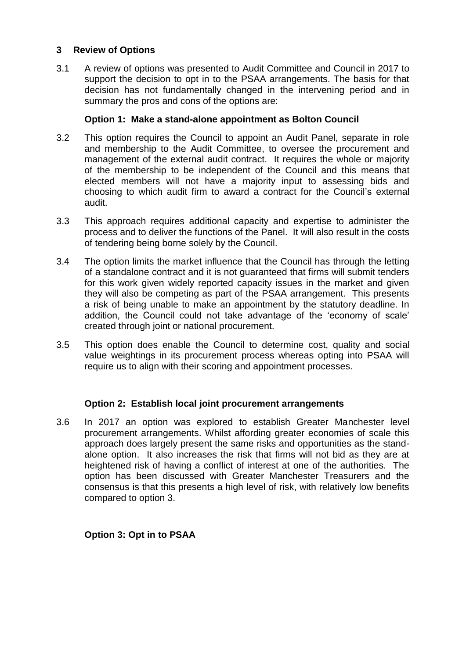### **3 Review of Options**

3.1 A review of options was presented to Audit Committee and Council in 2017 to support the decision to opt in to the PSAA arrangements. The basis for that decision has not fundamentally changed in the intervening period and in summary the pros and cons of the options are:

### **Option 1: Make a stand-alone appointment as Bolton Council**

- 3.2 This option requires the Council to appoint an Audit Panel, separate in role and membership to the Audit Committee, to oversee the procurement and management of the external audit contract. It requires the whole or majority of the membership to be independent of the Council and this means that elected members will not have a majority input to assessing bids and choosing to which audit firm to award a contract for the Council's external audit.
- 3.3 This approach requires additional capacity and expertise to administer the process and to deliver the functions of the Panel. It will also result in the costs of tendering being borne solely by the Council.
- 3.4 The option limits the market influence that the Council has through the letting of a standalone contract and it is not guaranteed that firms will submit tenders for this work given widely reported capacity issues in the market and given they will also be competing as part of the PSAA arrangement. This presents a risk of being unable to make an appointment by the statutory deadline. In addition, the Council could not take advantage of the 'economy of scale' created through joint or national procurement.
- 3.5 This option does enable the Council to determine cost, quality and social value weightings in its procurement process whereas opting into PSAA will require us to align with their scoring and appointment processes.

# **Option 2: Establish local joint procurement arrangements**

3.6 In 2017 an option was explored to establish Greater Manchester level procurement arrangements. Whilst affording greater economies of scale this approach does largely present the same risks and opportunities as the standalone option. It also increases the risk that firms will not bid as they are at heightened risk of having a conflict of interest at one of the authorities. The option has been discussed with Greater Manchester Treasurers and the consensus is that this presents a high level of risk, with relatively low benefits compared to option 3.

# **Option 3: Opt in to PSAA**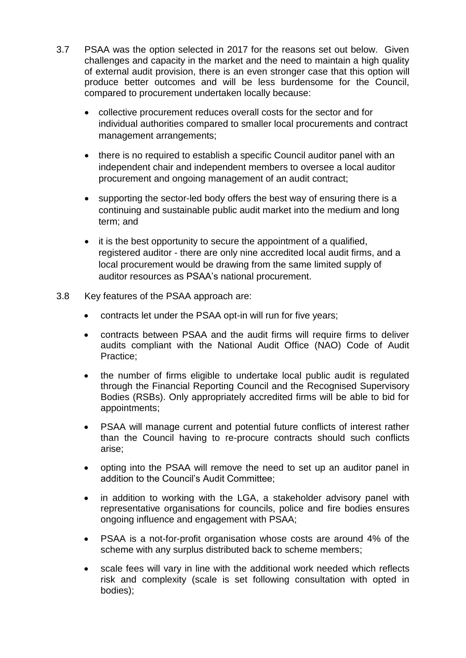- 3.7 PSAA was the option selected in 2017 for the reasons set out below. Given challenges and capacity in the market and the need to maintain a high quality of external audit provision, there is an even stronger case that this option will produce better outcomes and will be less burdensome for the Council, compared to procurement undertaken locally because:
	- collective procurement reduces overall costs for the sector and for individual authorities compared to smaller local procurements and contract management arrangements;
	- there is no required to establish a specific Council auditor panel with an independent chair and independent members to oversee a local auditor procurement and ongoing management of an audit contract;
	- supporting the sector-led body offers the best way of ensuring there is a continuing and sustainable public audit market into the medium and long term; and
	- it is the best opportunity to secure the appointment of a qualified, registered auditor - there are only nine accredited local audit firms, and a local procurement would be drawing from the same limited supply of auditor resources as PSAA's national procurement.
- 3.8 Key features of the PSAA approach are:
	- contracts let under the PSAA opt-in will run for five years;
	- contracts between PSAA and the audit firms will require firms to deliver audits compliant with the National Audit Office (NAO) Code of Audit Practice;
	- the number of firms eligible to undertake local public audit is regulated through the Financial Reporting Council and the Recognised Supervisory Bodies (RSBs). Only appropriately accredited firms will be able to bid for appointments;
	- PSAA will manage current and potential future conflicts of interest rather than the Council having to re-procure contracts should such conflicts arise;
	- opting into the PSAA will remove the need to set up an auditor panel in addition to the Council's Audit Committee;
	- in addition to working with the LGA, a stakeholder advisory panel with representative organisations for councils, police and fire bodies ensures ongoing influence and engagement with PSAA;
	- PSAA is a not-for-profit organisation whose costs are around 4% of the scheme with any surplus distributed back to scheme members;
	- scale fees will vary in line with the additional work needed which reflects risk and complexity (scale is set following consultation with opted in bodies);